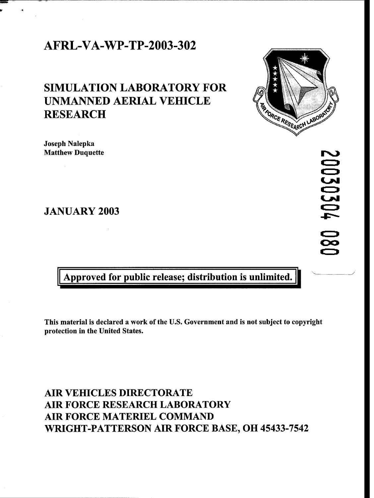## AFRL-VA-WP-TP-2003-302

# **SIMULATION** LABORATORY FOR UNMANNED AERIAL VEHICLE **RESEARCH**



JANUARY 2003

Approved for public release; distribution is unlimited.

This material is declared a work of the U.S. Government and is not subject to copyright protection in the United States.

## AIR VEHICLES DIRECTORATE AIR FORCE RESEARCH LABORATORY AIR FORCE MATERIEL COMMAND WRIGHT-PATTERSON AIR FORCE BASE, OH 45433-7542



20030304 00<br>00

Ŋ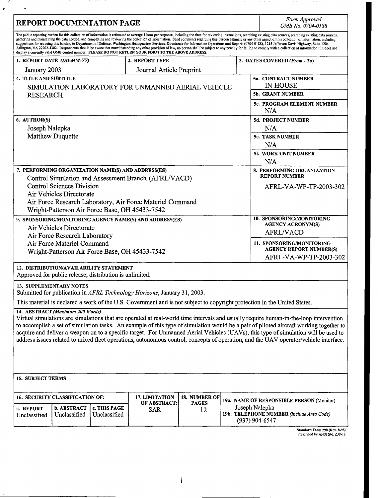| <b>REPORT DOCUMENTATION PAGE</b>                                                                                                                                                                                                                                                                                                                                                                                                                                                                                                                                                                                                                                                                                                                                                                                                                                                                                                                                                                    |                                        |                              |                                                     |               |                                                                             | Form Approved<br>OMB No. 0704-0188                            |
|-----------------------------------------------------------------------------------------------------------------------------------------------------------------------------------------------------------------------------------------------------------------------------------------------------------------------------------------------------------------------------------------------------------------------------------------------------------------------------------------------------------------------------------------------------------------------------------------------------------------------------------------------------------------------------------------------------------------------------------------------------------------------------------------------------------------------------------------------------------------------------------------------------------------------------------------------------------------------------------------------------|----------------------------------------|------------------------------|-----------------------------------------------------|---------------|-----------------------------------------------------------------------------|---------------------------------------------------------------|
| The public reporting burden for this collection of information is estimated to average 1 hour per response, including the time for reviewing instructions, searching existing data sources, searching existing data sources,<br>gathering and maintaining the data needed, and completing and reviewing the collection of information. Send comments regarding this burden estimate or any other aspect of this collection of information, including<br>suggestions for reducing this burden, to Department of Defense, Washington Headquarters Services, Directorate for Information Operations and Reports (0704-0188), 1215 Jefferson Davis Highway, Suite 1204,<br>Arlington, VA 22202-4302. Respondents should be aware that notwithstanding any other provision of law, no person shall be subject to any penalty for failing to comply with a collection of information if it does not<br>display a currently valid OMB control number. PLEASE DO NOT RETURN YOUR FORM TO THE ABOVE ADDRESS. |                                        |                              |                                                     |               |                                                                             |                                                               |
| 1. REPORT DATE (DD-MM-YY)                                                                                                                                                                                                                                                                                                                                                                                                                                                                                                                                                                                                                                                                                                                                                                                                                                                                                                                                                                           |                                        |                              | 2. REPORT TYPE                                      |               |                                                                             | 3. DATES COVERED (From - To)                                  |
| January 2003                                                                                                                                                                                                                                                                                                                                                                                                                                                                                                                                                                                                                                                                                                                                                                                                                                                                                                                                                                                        |                                        |                              | Journal Article Preprint                            |               |                                                                             |                                                               |
| 4. TITLE AND SUBTITLE                                                                                                                                                                                                                                                                                                                                                                                                                                                                                                                                                                                                                                                                                                                                                                                                                                                                                                                                                                               |                                        |                              |                                                     |               |                                                                             | 5a. CONTRACT NUMBER                                           |
| SIMULATION LABORATORY FOR UNMANNED AERIAL VEHICLE<br><b>RESEARCH</b>                                                                                                                                                                                                                                                                                                                                                                                                                                                                                                                                                                                                                                                                                                                                                                                                                                                                                                                                |                                        |                              |                                                     |               |                                                                             | <b>IN-HOUSE</b>                                               |
|                                                                                                                                                                                                                                                                                                                                                                                                                                                                                                                                                                                                                                                                                                                                                                                                                                                                                                                                                                                                     |                                        |                              |                                                     |               |                                                                             | 5b. GRANT NUMBER                                              |
|                                                                                                                                                                                                                                                                                                                                                                                                                                                                                                                                                                                                                                                                                                                                                                                                                                                                                                                                                                                                     |                                        |                              |                                                     |               |                                                                             | 5c. PROGRAM ELEMENT NUMBER<br>N/A                             |
| 6. AUTHOR(S)                                                                                                                                                                                                                                                                                                                                                                                                                                                                                                                                                                                                                                                                                                                                                                                                                                                                                                                                                                                        |                                        |                              |                                                     |               |                                                                             | 5d. PROJECT NUMBER                                            |
| Joseph Nalepka                                                                                                                                                                                                                                                                                                                                                                                                                                                                                                                                                                                                                                                                                                                                                                                                                                                                                                                                                                                      |                                        |                              |                                                     |               |                                                                             | N/A                                                           |
| <b>Matthew Duquette</b>                                                                                                                                                                                                                                                                                                                                                                                                                                                                                                                                                                                                                                                                                                                                                                                                                                                                                                                                                                             |                                        |                              |                                                     |               |                                                                             | 5e. TASK NUMBER                                               |
|                                                                                                                                                                                                                                                                                                                                                                                                                                                                                                                                                                                                                                                                                                                                                                                                                                                                                                                                                                                                     |                                        |                              |                                                     |               |                                                                             | N/A<br>5f. WORK UNIT NUMBER                                   |
|                                                                                                                                                                                                                                                                                                                                                                                                                                                                                                                                                                                                                                                                                                                                                                                                                                                                                                                                                                                                     |                                        |                              |                                                     |               |                                                                             | N/A                                                           |
| 7. PERFORMING ORGANIZATION NAME(S) AND ADDRESS(ES)<br>Control Simulation and Assessment Branch (AFRL/VACD)                                                                                                                                                                                                                                                                                                                                                                                                                                                                                                                                                                                                                                                                                                                                                                                                                                                                                          |                                        |                              |                                                     |               |                                                                             | 8. PERFORMING ORGANIZATION<br><b>REPORT NUMBER</b>            |
| <b>Control Sciences Division</b>                                                                                                                                                                                                                                                                                                                                                                                                                                                                                                                                                                                                                                                                                                                                                                                                                                                                                                                                                                    |                                        |                              |                                                     |               |                                                                             | AFRL-VA-WP-TP-2003-302                                        |
| Air Vehicles Directorate                                                                                                                                                                                                                                                                                                                                                                                                                                                                                                                                                                                                                                                                                                                                                                                                                                                                                                                                                                            |                                        |                              |                                                     |               |                                                                             |                                                               |
| Air Force Research Laboratory, Air Force Materiel Command                                                                                                                                                                                                                                                                                                                                                                                                                                                                                                                                                                                                                                                                                                                                                                                                                                                                                                                                           |                                        |                              |                                                     |               |                                                                             |                                                               |
| Wright-Patterson Air Force Base, OH 45433-7542                                                                                                                                                                                                                                                                                                                                                                                                                                                                                                                                                                                                                                                                                                                                                                                                                                                                                                                                                      |                                        |                              |                                                     |               |                                                                             |                                                               |
| 9. SPONSORING/MONITORING AGENCY NAME(S) AND ADDRESS(ES)                                                                                                                                                                                                                                                                                                                                                                                                                                                                                                                                                                                                                                                                                                                                                                                                                                                                                                                                             |                                        |                              |                                                     |               |                                                                             | 10. SPONSORING/MONITORING<br><b>AGENCY ACRONYM(S)</b>         |
| Air Vehicles Directorate                                                                                                                                                                                                                                                                                                                                                                                                                                                                                                                                                                                                                                                                                                                                                                                                                                                                                                                                                                            |                                        |                              |                                                     |               |                                                                             | <b>AFRL/VACD</b>                                              |
| Air Force Research Laboratory<br>Air Force Materiel Command                                                                                                                                                                                                                                                                                                                                                                                                                                                                                                                                                                                                                                                                                                                                                                                                                                                                                                                                         |                                        |                              |                                                     |               |                                                                             | 11. SPONSORING/MONITORING                                     |
| Wright-Patterson Air Force Base, OH 45433-7542                                                                                                                                                                                                                                                                                                                                                                                                                                                                                                                                                                                                                                                                                                                                                                                                                                                                                                                                                      |                                        |                              |                                                     |               |                                                                             | <b>AGENCY REPORT NUMBER(S)</b>                                |
|                                                                                                                                                                                                                                                                                                                                                                                                                                                                                                                                                                                                                                                                                                                                                                                                                                                                                                                                                                                                     |                                        |                              |                                                     |               |                                                                             | AFRL-VA-WP-TP-2003-302                                        |
| <b>12. DISTRIBUTION/AVAILABILITY STATEMENT</b><br>Approved for public release; distribution is unlimited.                                                                                                                                                                                                                                                                                                                                                                                                                                                                                                                                                                                                                                                                                                                                                                                                                                                                                           |                                        |                              |                                                     |               |                                                                             |                                                               |
| <b>13. SUPPLEMENTARY NOTES</b>                                                                                                                                                                                                                                                                                                                                                                                                                                                                                                                                                                                                                                                                                                                                                                                                                                                                                                                                                                      |                                        |                              |                                                     |               |                                                                             |                                                               |
| Submitted for publication in AFRL Technology Horizons, January 31, 2003.                                                                                                                                                                                                                                                                                                                                                                                                                                                                                                                                                                                                                                                                                                                                                                                                                                                                                                                            |                                        |                              |                                                     |               |                                                                             |                                                               |
| This material is declared a work of the U.S. Government and is not subject to copyright protection in the United States.                                                                                                                                                                                                                                                                                                                                                                                                                                                                                                                                                                                                                                                                                                                                                                                                                                                                            |                                        |                              |                                                     |               |                                                                             |                                                               |
| 14. ABSTRACT (Maximum 200 Words)                                                                                                                                                                                                                                                                                                                                                                                                                                                                                                                                                                                                                                                                                                                                                                                                                                                                                                                                                                    |                                        |                              |                                                     |               |                                                                             |                                                               |
| Virtual simulations are simulations that are operated at real-world time intervals and usually require human-in-the-loop intervention<br>to accomplish a set of simulation tasks. An example of this type of simulation would be a pair of piloted aircraft working together to                                                                                                                                                                                                                                                                                                                                                                                                                                                                                                                                                                                                                                                                                                                     |                                        |                              |                                                     |               |                                                                             |                                                               |
| acquire and deliver a weapon on to a specific target. For Unmanned Aerial Vehicles (UAVs), this type of simulation will be used to                                                                                                                                                                                                                                                                                                                                                                                                                                                                                                                                                                                                                                                                                                                                                                                                                                                                  |                                        |                              |                                                     |               |                                                                             |                                                               |
| address issues related to mixed fleet operations, autonomous control, concepts of operation, and the UAV operator/vehicle interface.                                                                                                                                                                                                                                                                                                                                                                                                                                                                                                                                                                                                                                                                                                                                                                                                                                                                |                                        |                              |                                                     |               |                                                                             |                                                               |
|                                                                                                                                                                                                                                                                                                                                                                                                                                                                                                                                                                                                                                                                                                                                                                                                                                                                                                                                                                                                     |                                        |                              |                                                     |               |                                                                             |                                                               |
|                                                                                                                                                                                                                                                                                                                                                                                                                                                                                                                                                                                                                                                                                                                                                                                                                                                                                                                                                                                                     |                                        |                              |                                                     |               |                                                                             |                                                               |
|                                                                                                                                                                                                                                                                                                                                                                                                                                                                                                                                                                                                                                                                                                                                                                                                                                                                                                                                                                                                     |                                        |                              |                                                     |               |                                                                             |                                                               |
| <b>15. SUBJECT TERMS</b>                                                                                                                                                                                                                                                                                                                                                                                                                                                                                                                                                                                                                                                                                                                                                                                                                                                                                                                                                                            |                                        |                              |                                                     |               |                                                                             |                                                               |
|                                                                                                                                                                                                                                                                                                                                                                                                                                                                                                                                                                                                                                                                                                                                                                                                                                                                                                                                                                                                     | <b>16. SECURITY CLASSIFICATION OF:</b> |                              | 17. LIMITATION<br><b>OF ABSTRACT:</b><br><b>SAR</b> | 18. NUMBER OF | 19a. NAME OF RESPONSIBLE PERSON (Monitor)<br><b>PAGES</b><br>Joseph Nalepka |                                                               |
| a. REPORT                                                                                                                                                                                                                                                                                                                                                                                                                                                                                                                                                                                                                                                                                                                                                                                                                                                                                                                                                                                           | <b>b. ABSTRACT</b><br>Unclassified     | c. THIS PAGE<br>Unclassified |                                                     | 12            |                                                                             |                                                               |
| Unclassified                                                                                                                                                                                                                                                                                                                                                                                                                                                                                                                                                                                                                                                                                                                                                                                                                                                                                                                                                                                        |                                        |                              |                                                     |               |                                                                             | 19b. TELEPHONE NUMBER (Include Area Code)<br>$(937)$ 904-6547 |
|                                                                                                                                                                                                                                                                                                                                                                                                                                                                                                                                                                                                                                                                                                                                                                                                                                                                                                                                                                                                     |                                        |                              |                                                     |               |                                                                             |                                                               |
| Standard Form 298 (Rev. 8-98)<br>Prescribed by ANSI Std. Z39-18                                                                                                                                                                                                                                                                                                                                                                                                                                                                                                                                                                                                                                                                                                                                                                                                                                                                                                                                     |                                        |                              |                                                     |               |                                                                             |                                                               |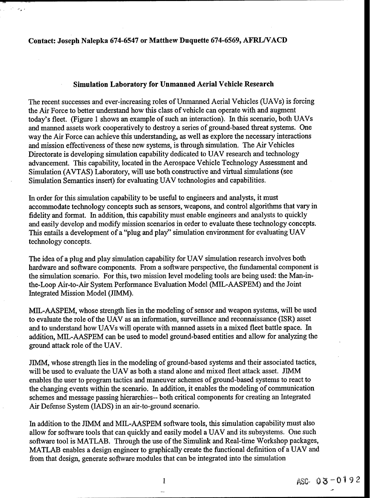### Contact: Joseph Nalepka **674-6547** or Matthew Duquette **674-6569,** AFRL/VACD

ويعاجل والمرادي

#### Simulation Laboratory for Unmanned Aerial Vehicle Research

The recent successes and ever-increasing roles of Unmanned Aerial Vehicles (UAVs) is forcing the Air Force to better understand how this class of vehicle can operate with and augment today's fleet. (Figure 1 shows an example of such an interaction). In this scenario, both UAVs and manned assets work cooperatively to destroy a series of ground-based threat systems. One way the Air Force can achieve this understanding, as well as explore the necessary interactions and mission effectiveness of these new systems, is through simulation. The Air Vehicles Directorate is developing simulation capability dedicated to UAV research and technology advancement. This capability, located in the Aerospace Vehicle Technology Assessment and Simulation (AVTAS) Laboratory, will use both constructive and virtual simulations (see Simulation Semantics insert) for evaluating UAV technologies and capabilities.

In order for this simulation capability to be useful to engineers and analysts, it must accommodate technology concepts such as sensors, weapons, and control algorithms that vary in fidelity and format. In addition, this capability must enable engineers and analysts to quickly and easily develop and modify mission scenarios in order to evaluate these technology concepts. This entails a development of a "plug and play" simulation environment for evaluating UAV technology concepts.

The idea of a plug and play simulation capability for UAV simulation research involves both hardware and software components. From a software perspective, the fundamental component is the simulation scenario. For this, two mission level modeling tools are being used: the Man-inthe-Loop Air-to-Air System Performance Evaluation Model (MIL-AASPEM) and the Joint Integrated Mission Model (JIMM).

MIL-AASPEM, whose strength lies in the modeling of sensor and weapon systems, will be used to evaluate the role of the UAV as an information, surveillance and reconnaissance (ISR) asset and to understand how UAVs will operate with manned assets in a mixed fleet battle space. In addition, MIL-AASPEM can be used to model ground-based entities and allow for analyzing the ground attack role of the UAV.

JIMM, whose strength lies in the modeling of ground-based systems and their associated tactics, will be used to evaluate the UAV as both a stand alone and mixed fleet attack asset. JIMM enables the user to program tactics and maneuver schemes of ground-based systems to react to the changing events within the scenario. In addition, it enables the modeling of communication schemes and message passing hierarchies-- both critical components for creating an Integrated Air Defense System (LADS) in an air-to-ground scenario.

In addition to the JIMM and MIL-AASPEM software tools, this simulation capability must also allow for software tools that can quickly and easily model a UAV and its subsystems. One such software tool is MATLAB. Through the use of the Simulink and Real-time Workshop packages, MATLAB enables a design engineer to graphically create the functional definition of a UAV and from that design, generate software modules that can be integrated into the simulation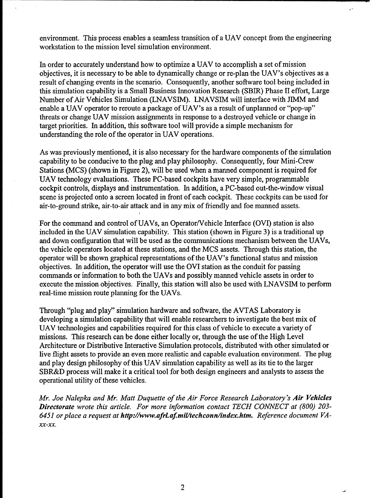environment. This process enables a seamless transition of a UAV concept from the engineering workstation to the mission level simulation environment.

Ç.

In order to accurately understand how to optimize a UAV to accomplish a set of mission objectives, it is necessary to be able to dynamically change or re-plan the UAV's objectives as a result of changing events in the scenario. Consequently, another software tool being included in this simulation capability is a Small Business Innovation Research (SBIR) Phase H effort, Large Number of Air Vehicles Simulation (LNAVSIM). LNAVSIM will interface with JIMM and enable a UAV operator to reroute a package of UAV's as a result of unplanned or "pop-up" threats or change UAV mission assignments in response to a destroyed vehicle or change in target priorities. In addition, this software tool will provide a simple mechanism for understanding the role of the operator in UAV operations.

As was previously mentioned, it is also necessary for the hardware components of the simulation capability to be conducive to the plug and play philosophy. Consequently, four Mini-Crew Stations (MCS) (shown in Figure 2), will be used when a manned component is required for UAV technology evaluations. These PC-based cockpits have very simple, programmable cockpit controls, displays and instrumentation. In addition, a PC-based out-the-window visual scene is projected onto a screen located in front of each cockpit. These cockpits can be used for air-to-ground strike, air-to-air attack and in any mix of friendly and foe manned assets.

For the command and control of UAVs, an Operator/Vehicle Interface (OVI) station is also included in the UAV simulation capability. This station (shown in Figure 3) is a traditional up and down configuration that will be used as the communications mechanism between the UAVs, the vehicle operators located at these stations, and the MCS assets. Through this station, the operator will be shown graphical representations of the UAV's functional status and mission objectives. In addition, the operator will use the OVI station as the conduit for passing commands or information to both the UAVs and possibly manned vehicle assets in order to execute the mission objectives. Finally, this station will also be used with LNAVSIM to perform real-time mission route planning for the UAVs.

Through "plug and play" simulation hardware and software, the AVTAS Laboratory is developing a simulation capability that will enable researchers to investigate the best mix of UAV technologies and capabilities required for this class of vehicle to execute a variety of missions. This research can be done either locally or, through the use of the High Level Architecture or Distributive Interactive Simulation protocols, distributed with other simulated or live flight assets to provide an even more realistic and capable evaluation environment. The plug and play design philosophy of this UAV simulation capability as well as its tie to the larger SBR&D process will make it a critical tool for both design engineers and analysts to assess the operational utility of these vehicles.

*Mr. Joe Nalepka and Mr. Matt Duquette of the Air Force Research Laboratory's Air Vehicles Directorate wrote this article. For more information contact TECH CONNECT at (800) 203- 6451 or place a request at http://www.afrLaf mil/techconn/index.htm. Reference document VA-*XX-XX.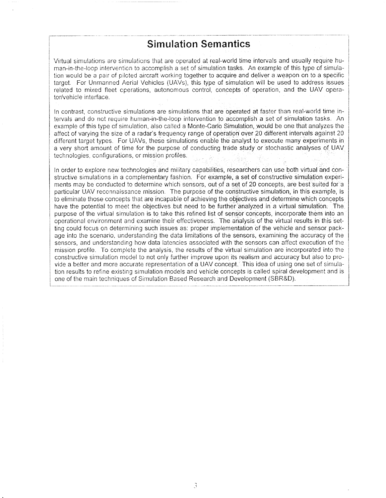### Simulation Semantics

Virtual simulations are simulations that are operated at real-world time intervals and usually require human-in-the-loop intervention to accomplish a set of simulation tasks. An example of this type of simulation would be a pair of piloted aircraft working together to acquire and deliver a weapon on to a specific target. For Unmanned Aerial Vehicles (UAVs), this type of simulation will be used to address issues related to mixed fleet operations, autonomous control, concepts of operation, and the UAV operator/vehicle interface.

In contrast, constructive simulations are simulations that are operated at faster than real-world time intervals and do not require human-in-the-loop intervention to accomplish a set of simulation tasks. An example of this type of simulation, also called a Monte-Carlo Simulation, would be one that analyzes the affect of varying the size of a radar's frequency range of operation over 20 different intervals against 20 different target types. For UAVs, these simulations enable the analyst to execute many experiments in a very short amount of time for the purpose of conducting trade study or stochastic analyses of UAV technologies, configurations, or mission profiles.

In order to explore new technologies and military capabilities, researchers can use both virtual and constructive simulations in a complementary fashion. For example, a set of constructive simulation experiments may be conducted to determine which sensors, out of a set of 20 concepts, are best suited for a particular UAV reconnaissance mission. The purpose of the constructive simulation, in this example, is to eliminate those concepts that are incapable of achieving the objectives and determine which concepts have the potential to meet the objectives but need to be further analyzed in a virtual simulation. The purpose of the virtual simulation is to take this refined list of sensor concepts, incorporate them into an operational environment and examine their effectiveness. The analysis of the virtual results in this setting could focus on determining such issues as: proper implementation of the vehicle and sensor package into the scenario, understanding the data limitations of the sensors, examining the accuracy of the sensors, and understanding how data latencies associated with the sensors can affect execution of the mission profile. To complete the analysis, the results of the virtual simulation are incorporated into the constructive simulation model to not only further improve upon its realism and accuracy but also to provide a better and more accurate representation of a UAV concept. This idea of using one set of simulation results to refine existing simulation models and vehicle concepts is called spiral development and is one of the main techniques of Simulation Based Research and Development (SBR&D).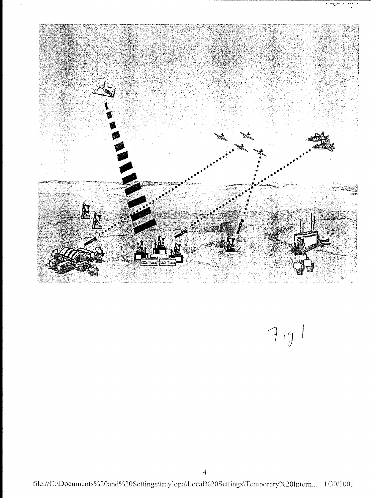

 $7.9$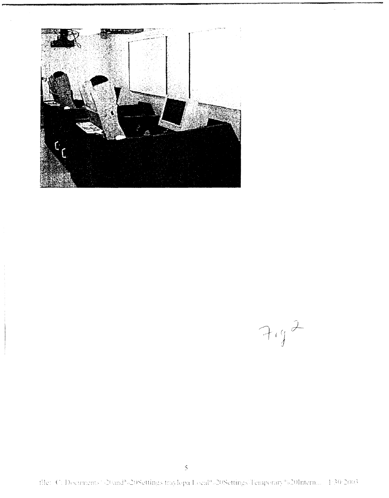

 $7.92$ 

file: C: Documents: (20and<sup>9</sup> %20Settings traylopa Local<sup>0</sup> %20Settings/Temporary<sup>0</sup>%20Intern... 1:30:2003